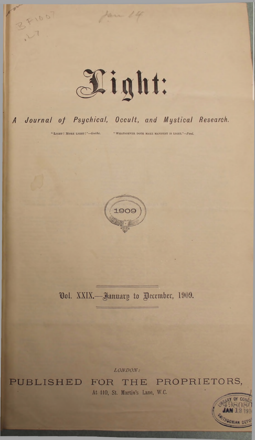

Jan 14

## A Journal of Psychical, Occult, and Mystical Research.

" LIGHT ! MORE LIGHT !"-Goethe.

B F1007

"WHATSOEVER DOTH MAKE MANIFEST IS LIGHT."-Paul.



Vol. XXIX.-January to Pecember, 1909.

LONDON:

PUBLISHED

FOR THE PROPRIETORS, At 110, St. Martin's Lane, W.C.

HEONIAN DET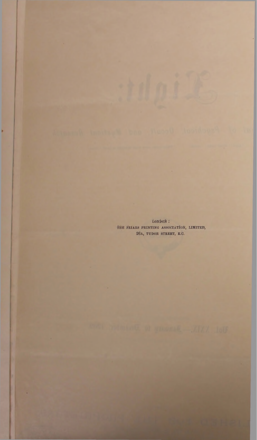ionbon: THE FRIARS PRINTING ASSOCIATION, LIMITED, 26A, TUDOR STREET, E.C.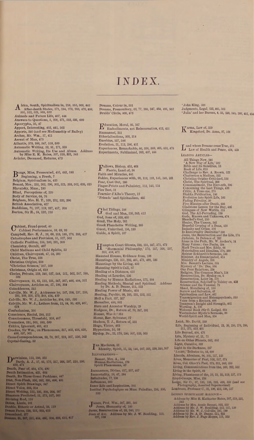## INDEX

A frica, South, Spiritualism in, *228,* 353,309, 443 After-death States, 171, 134, 278, 283, 470, 488, 501, 612, 621, 608, 022 Animals and Future Life, 407, 444 Answers to Questions, 5, 208, 671, 583,696, 009 Apocrypha, 35, 47 Apport, Interesting, 403, 442, 503 Apports, 340 (and see Mediumship of Bailey) Archer, Mr. Wm., 37, 411 Ascent of Man, 475 Atlantis, 370, 388, 547, 559, 500 Automatic Writing, 33, 01, 171, 338 Automatic Writing, Its Use and Abuse. Address by Miss E. K. Bates, 307, 310, 831, 343 Aviator, Deceased, Returns, 473

B angs, Miss, Prosecuted, 405, 483, 590 \* Beginning, a Fresh, <sup>7</sup> Belgium, Spiritualism in, 435 Besant, Mrs., 253, 202, 290, 301, 321, 303, 502, 008, 010 Blavatsky, Mme., 180 Blind, Perceptions of, 220 Body of Service, 04, 70 Brigham, Mrs. H. T., 100, 202, 332, 390 British Association, 427 Buddhism, 71, 107, 119, 337, 457, 503 Burton, Sir R., 84,132, 210

Cabinet, Fraud-proof, 40 Cabinet Performance, 59, 09, 93 Catastrophes and Prevision, 51, 527, 563<br>Catastrophes and Prevision, 51, 527, 563<br>Catholic Position, 156, 160, 191, 300<br>Chemistry, Occult, 497<br>Child Mediums and Child Spirits, 53 Children, Clairvoyant, 47, 58, 395 Christ, The True, 328 Christian Origins, 228 'Christian Science,' 107, 509 Christmas, Origin of, 019 Circles, Private, 159, 340, 527, 544, 551, 562, 587, 588, 598 508<br>Clairvoyance, 21, 63, 119, 251, 347, 357, 466, 484, 551<br>Clairvoyance, Articles on, 57, 106, 304<br>Coincidences, 315<br>Colville, Mr. W. J., Addresses by, 187, 208, 237, 250,<br>292, 300, 320, 379, 388, 424, 439<br>Colville, Mr. W

Confucianism, 100 Conscience, Racial, 288, 812 Consciousness, Threefold, 869, 407 Cremation, 281, 605, 693, 699 Critics, Ignorant, 406, 411 Crookes, Sir Wm,, on Phenomena, 817, 403, 410, 428, 489, 637, 601

Cross-Correspondonces, 39, 70, 207, 219, 607, 550, 503 Crystal-Gazing, 82

 $\begin{array}{l} \textbf{D} \textbf{arv} \textbf{mass, 13, 280, 320} \\ \textbf{Davis}_1 \textbf{A} \textbf{. J}, 17, 65, 172, 257, 268, 297, 310, 386, 450, 471 \\ \textbf{Death, Fear of, 464, 478, 490 \\ \textbf{Death, Year of, 464, 478, 490 \\ \textbf{Death, Its Three Great Problems, 447 \\ \textbf{Dijet, Non-Fleach, 366, 382, 305, 406, 431 \\ \textbf{Direct Spirl$  $\mathbf{D}^{\text{arwinism, 113, 286, 325}}$ 

Dreams, Colour in, 551 Dreams, Premonitory, 03, 77, 268, 347, 484, 495, 502 Druids' Circle, 400, 478

 $\mathbf{E}^{\text{ducation, Moral, 95, 167}}_{\text{Embodiments, not Reincarination, 413, 455}}$ Emmanuel, 361 Etherialisations, 303, 314 Eusebius, 567, 688 Evolution, 21, 113, 286, 451 Experiences, Remarkable, 40, 330, 389, 405, 453, 478 Experiments, Subliminal, 383, 407, 444

F allows, Bishop, 453, 404 Faerie, Land of, 34 Faith and Miracles, 441 Fakirs, Experiences with, 99, 112, 123, 141,149, <sup>101</sup> Fear, Cast Out, 260 Finger-Prints and Palmistry, 113, 143, <sup>154</sup> Fire Test, <sup>11</sup> Foamierd'Albe's Theory, <sup>12</sup> \* Friends ' and Spiritualism, 485

G lad Tidings, 244 God and Man, 226,363, 412 God, Sons of, 328,435 Grail, The Holy, 261 Greek Planchette Writing, 365 Guest, Uninvited, 150,180 Guide, A Spirit, 107

Hampton Court Ghosts, 238, 251, 347, 371, 473<br>
<sup>'</sup> Harmonial Philosophy,' 172, 257, 208, 207,<br>
Haunted Houses, Evidence from, 196<br>
Hauntings, 236, 251, 293, 461, 472, 499, 586<br>
Hauntings by the Living, 432<br>
2 Haunting Spirit's Call, 87 Healing at a Distance, <sup>455</sup> Healing at Lourdes, <sup>236</sup> Healing by Human Radiations, 175, 204 Healing Methods, Mental and Spiritual. Address by Dr. A. D. Deane, 211, 223 Healing Power of Music, 424 Healing, Psychic, 98, 165, 251, 252, 321<br>Hell a Fact, 337, 357<br>Hereafter, 488, 501<br>Hereafter, 488, 501<br>Heream Ancestor Worship, 29<br>Hodgson, Dr., Return of, 70, 337, 391<br>Homer, Was it? 333<br>Horne, Rev. Sylvester, 57<br>Hugo, Vi Hypnotism, 10, 69 Hyslop, Dr., 22, 179, 280, 507, 529, 663

I an Maclaren, <sup>81</sup> Identity, Spirit, 11, 68, 146, 207, 225, 239,348,607 Illustrations— Besant, Mrs. A., 534<br>Human Radiations, 176<br>Spirit Phenomena, 42 Immanence, Divine, 217, 357, 407 Immortality, 28, 47, 284 Infinitudes, 77,136 Influences, 50o Inner Life and Inspiration, <sup>101</sup> Institut Psychologique on Mme. Paladino, 250, 850, 533

J amos, Prof. Win., 387, 391, 544 Jesus, Humanity of, <sup>185</sup> Jesus, Resurrection of, 23, 240, 275 Joan of Are. Address by Mr. J. W. Doubling, 115, 127, 139

\* John King, 588 Judgments, Legal, 233,465, 603 ' Julia' and her Bureau, 4, 33, 238, 243, 260, 452, <sup>454</sup>

K arma, Law of, 259 Kingsford, Dr. Anna, 97, 106

La more breakins come rive, soi<br>La Law of Health and Paace, 424, 430<br>LEADING ARTICLES—<br>All Things New, 946<br>ALSENDING ARTICLES—<br>All Things New, 946<br>As New Way of Life, 632<br>Bible and its Satellites, 18<br>Dock of Life, 618<br>Chat and where Dreams come True, 375 Law of Health and Peace, 424, 439 Leisk, Mr. David, 299 Life, Beginning of Individual, 23, 30, 250, 270, 288, 311, 371, 419, 491 Life Beyond, 404, 470 Life, Mystery of, 21, 72 Life on Other Planets, 583, 603 Light, Curative, 569<br>Light in the Darkness, 237 Light in the Darkness, 237<br>
'Liourt, Tributes to, 83, 600<br>
Lincoln, Abraham, 94, 105, 117, 125<br>
Lives, Memories of Past, 526, 557, 574<br>
Lives, Col. Olcott's Past, 378, 311, 349, 359<br>
Living, Communications from the, 100, LONDON SPIRITUALIST ALLIANCE-Address by Miss E. Katharine Bates, 307, 319, 331, 434<br>diress by Mrs. Annie Besant, 523, 535<br>Address by Mrs. J. W. Boulding, 115, 127, 139<br>Address by Mr. J. W. J. Colville, 187, 190<br>didress by Dr. A. D. Deane, 211, 223<br>Add